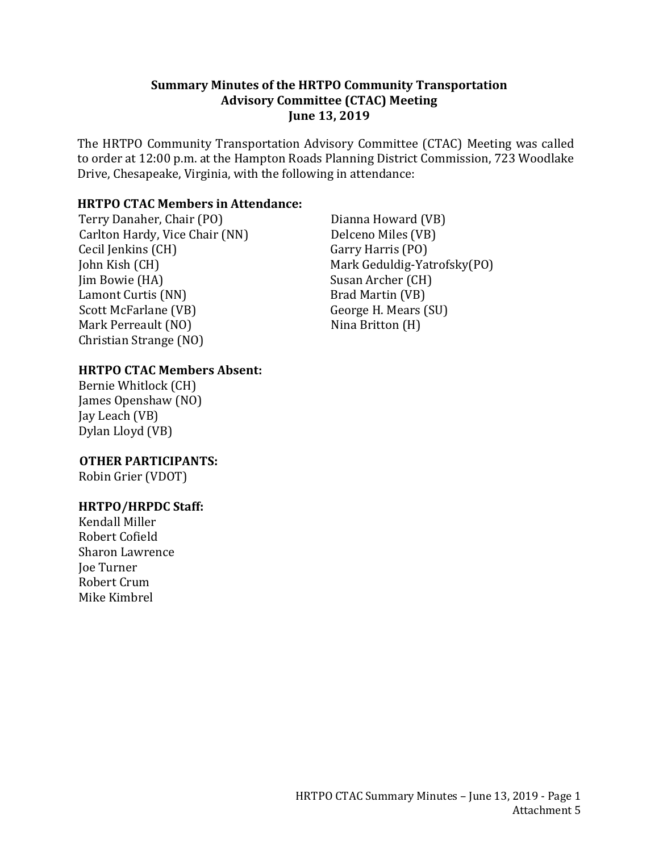#### **Summary Minutes of the HRTPO Community Transportation Advisory Committee (CTAC) Meeting June 13, 2019**

The HRTPO Community Transportation Advisory Committee (CTAC) Meeting was called to order at 12:00 p.m. at the Hampton Roads Planning District Commission, 723 Woodlake Drive, Chesapeake, Virginia, with the following in attendance:

### **HRTPO CTAC Members in Attendance:**

Terry Danaher, Chair (PO) Carlton Hardy, Vice Chair (NN) Cecil Jenkins (CH) John Kish (CH) Jim Bowie (HA) Lamont Curtis (NN) Scott McFarlane (VB) Mark Perreault (NO) Christian Strange (NO)

#### **HRTPO CTAC Members Absent:**

Bernie Whitlock (CH) James Openshaw (NO) Jay Leach (VB) Dylan Lloyd (VB)

 **OTHER PARTICIPANTS:** Robin Grier (VDOT)

#### **HRTPO/HRPDC Staff:**

Kendall Miller Robert Cofield Sharon Lawrence Joe Turner Robert Crum Mike Kimbrel

Dianna Howard (VB) Delceno Miles (VB) Garry Harris (PO) Mark Geduldig-Yatrofsky(PO) Susan Archer (CH) Brad Martin (VB) George H. Mears (SU) Nina Britton (H)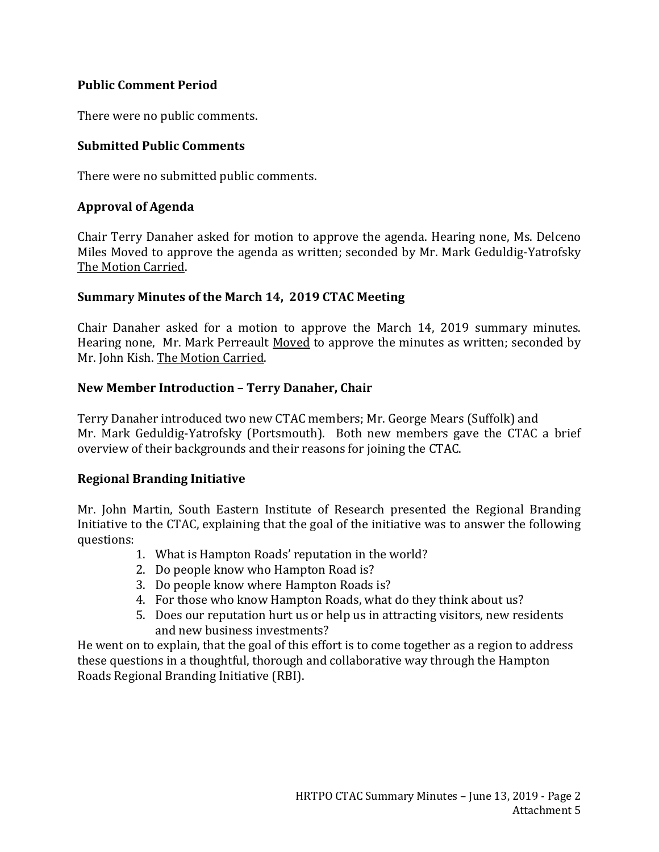## **Public Comment Period**

There were no public comments.

## **Submitted Public Comments**

There were no submitted public comments.

## **Approval of Agenda**

Chair Terry Danaher asked for motion to approve the agenda. Hearing none, Ms. Delceno Miles Moved to approve the agenda as written; seconded by Mr. Mark Geduldig-Yatrofsky The Motion Carried.

#### **Summary Minutes of the March 14, 2019 CTAC Meeting**

Chair Danaher asked for a motion to approve the March 14, 2019 summary minutes. Hearing none, Mr. Mark Perreault Moved to approve the minutes as written; seconded by Mr. John Kish. The Motion Carried.

### **New Member Introduction – Terry Danaher, Chair**

Terry Danaher introduced two new CTAC members; Mr. George Mears (Suffolk) and Mr. Mark Geduldig-Yatrofsky (Portsmouth). Both new members gave the CTAC a brief overview of their backgrounds and their reasons for joining the CTAC.

#### **Regional Branding Initiative**

Mr. John Martin, South Eastern Institute of Research presented the Regional Branding Initiative to the CTAC, explaining that the goal of the initiative was to answer the following questions:

- 1. What is Hampton Roads' reputation in the world?
- 2. Do people know who Hampton Road is?
- 3. Do people know where Hampton Roads is?
- 4. For those who know Hampton Roads, what do they think about us?
- 5. Does our reputation hurt us or help us in attracting visitors, new residents and new business investments?

He went on to explain, that the goal of this effort is to come together as a region to address these questions in a thoughtful, thorough and collaborative way through the Hampton Roads Regional Branding Initiative (RBI).